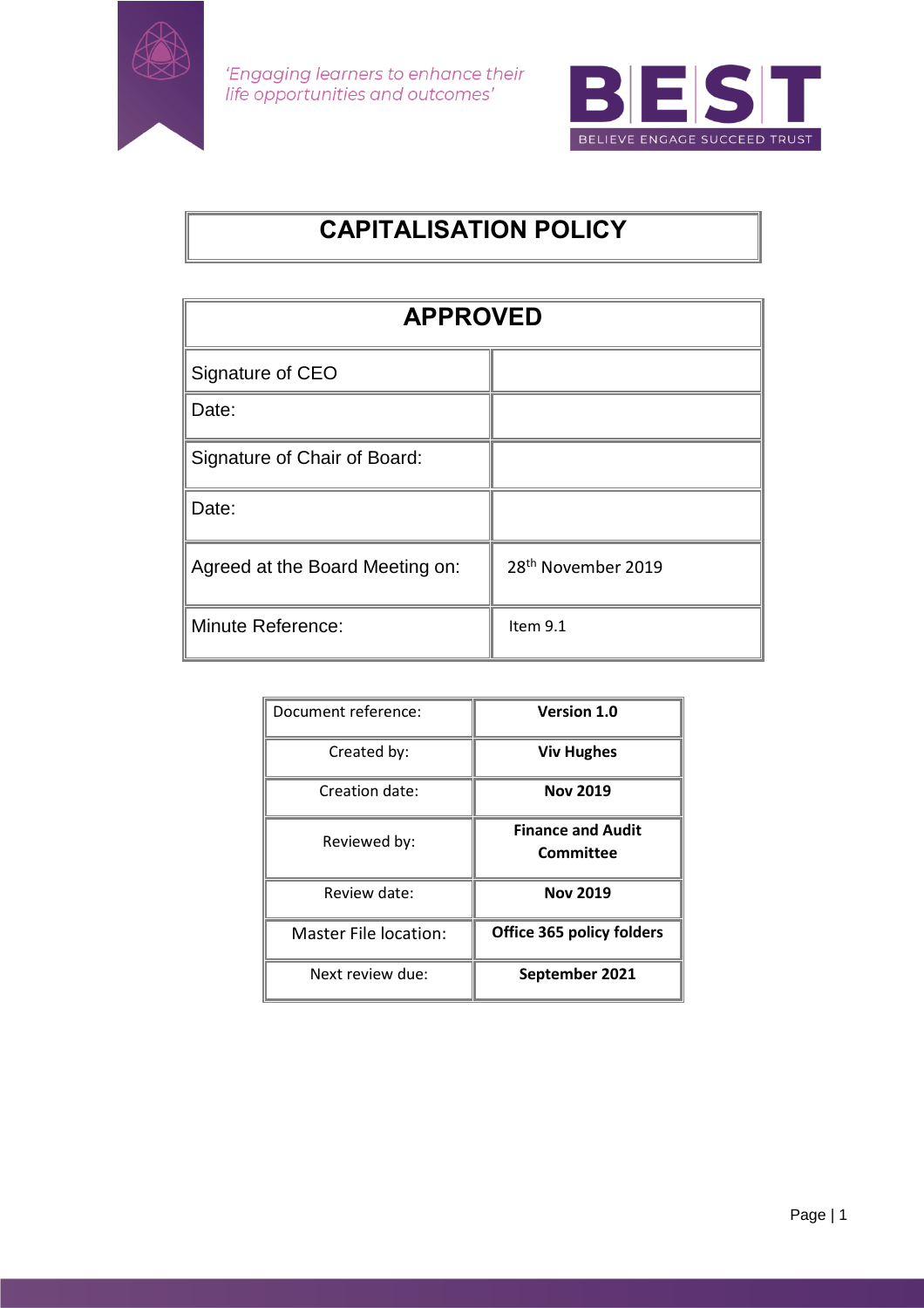

'Engaging learners to enhance their life opportunities and outcomes'



# **CAPITALISATION POLICY**

| <b>APPROVED</b>                 |                                |  |
|---------------------------------|--------------------------------|--|
| Signature of CEO                |                                |  |
| Date:                           |                                |  |
| Signature of Chair of Board:    |                                |  |
| Date:                           |                                |  |
| Agreed at the Board Meeting on: | 28 <sup>th</sup> November 2019 |  |
| <b>Minute Reference:</b>        | Item 9.1                       |  |

| Document reference:          | <b>Version 1.0</b>                    |
|------------------------------|---------------------------------------|
| Created by:                  | <b>Viv Hughes</b>                     |
| Creation date:               | <b>Nov 2019</b>                       |
| Reviewed by:                 | <b>Finance and Audit</b><br>Committee |
| Review date:                 | <b>Nov 2019</b>                       |
| <b>Master File location:</b> | <b>Office 365 policy folders</b>      |
| Next review due:             | September 2021                        |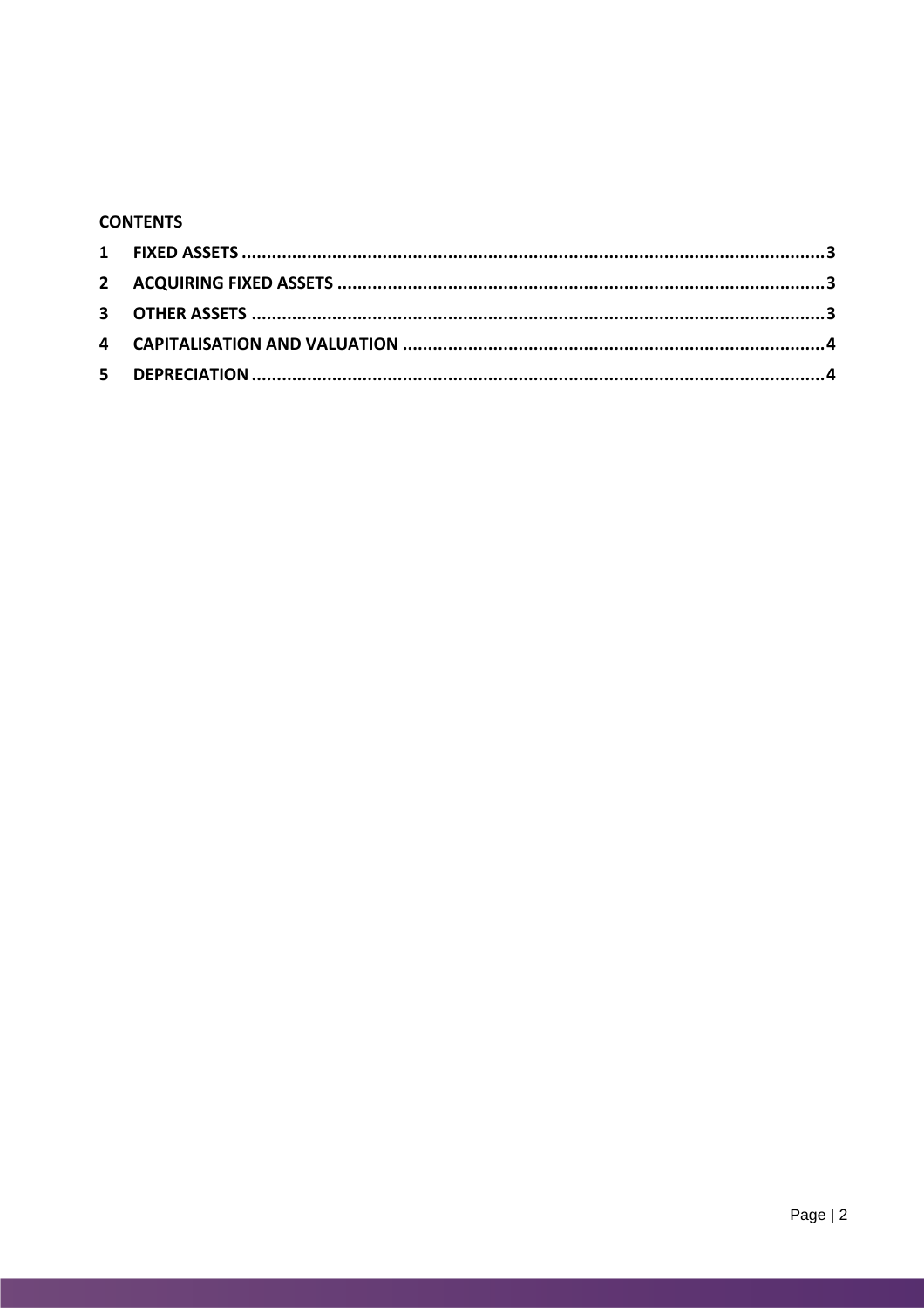## **CONTENTS**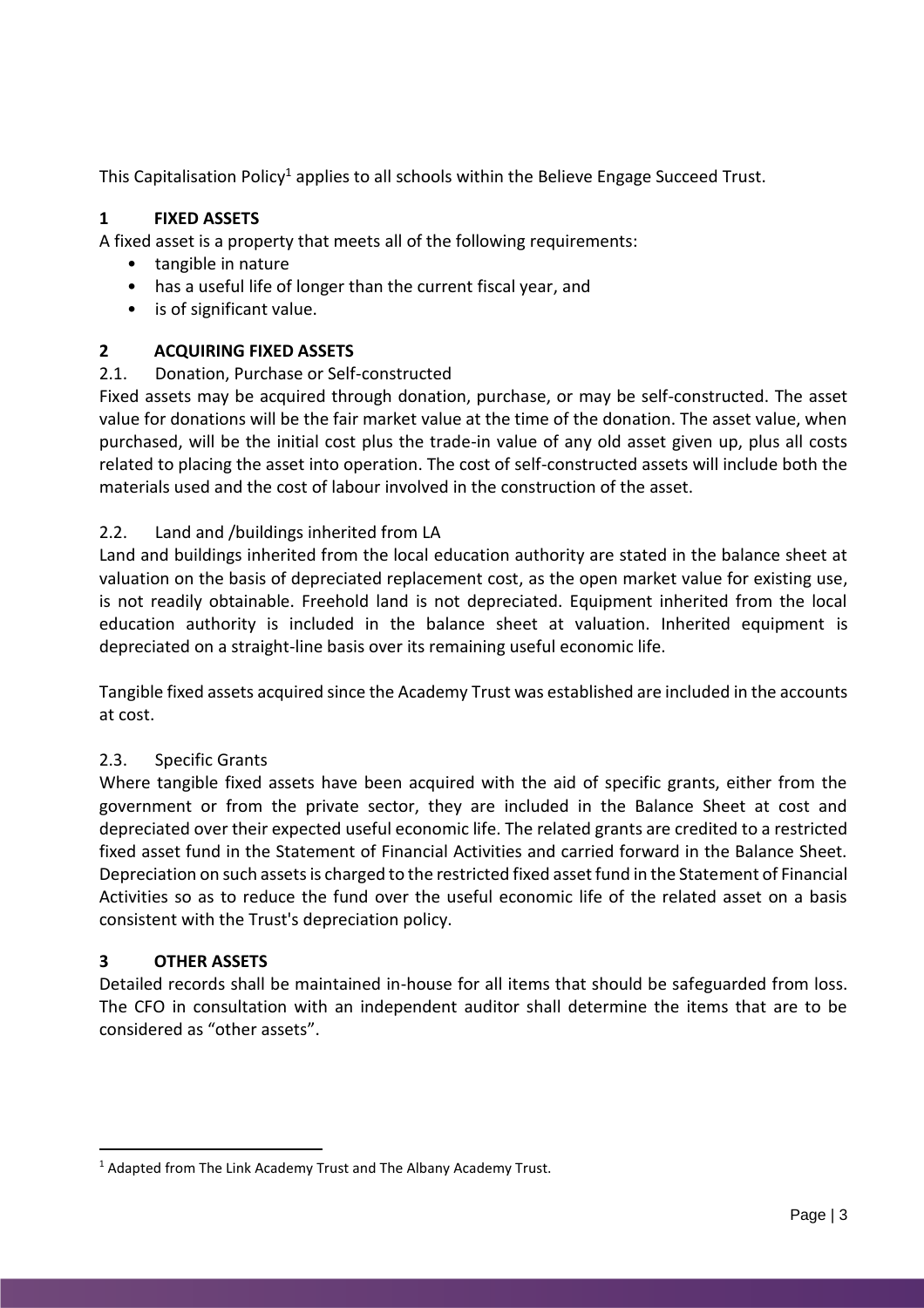This Capitalisation Policy<sup>1</sup> applies to all schools within the Believe Engage Succeed Trust.

# <span id="page-2-0"></span>**1 FIXED ASSETS**

A fixed asset is a property that meets all of the following requirements:

- tangible in nature
- has a useful life of longer than the current fiscal year, and
- is of significant value.

# <span id="page-2-1"></span>**2 ACQUIRING FIXED ASSETS**

# 2.1. Donation, Purchase or Self-constructed

Fixed assets may be acquired through donation, purchase, or may be self-constructed. The asset value for donations will be the fair market value at the time of the donation. The asset value, when purchased, will be the initial cost plus the trade-in value of any old asset given up, plus all costs related to placing the asset into operation. The cost of self-constructed assets will include both the materials used and the cost of labour involved in the construction of the asset.

## 2.2. Land and /buildings inherited from LA

Land and buildings inherited from the local education authority are stated in the balance sheet at valuation on the basis of depreciated replacement cost, as the open market value for existing use, is not readily obtainable. Freehold land is not depreciated. Equipment inherited from the local education authority is included in the balance sheet at valuation. Inherited equipment is depreciated on a straight-line basis over its remaining useful economic life.

Tangible fixed assets acquired since the Academy Trust was established are included in the accounts at cost.

# 2.3. Specific Grants

Where tangible fixed assets have been acquired with the aid of specific grants, either from the government or from the private sector, they are included in the Balance Sheet at cost and depreciated over their expected useful economic life. The related grants are credited to a restricted fixed asset fund in the Statement of Financial Activities and carried forward in the Balance Sheet. Depreciation on such assets is charged to the restricted fixed asset fund in the Statement of Financial Activities so as to reduce the fund over the useful economic life of the related asset on a basis consistent with the Trust's depreciation policy.

#### <span id="page-2-2"></span>**3 OTHER ASSETS**

Detailed records shall be maintained in-house for all items that should be safeguarded from loss. The CFO in consultation with an independent auditor shall determine the items that are to be considered as "other assets".

 $\overline{a}$ <sup>1</sup> Adapted from The Link Academy Trust and The Albany Academy Trust.